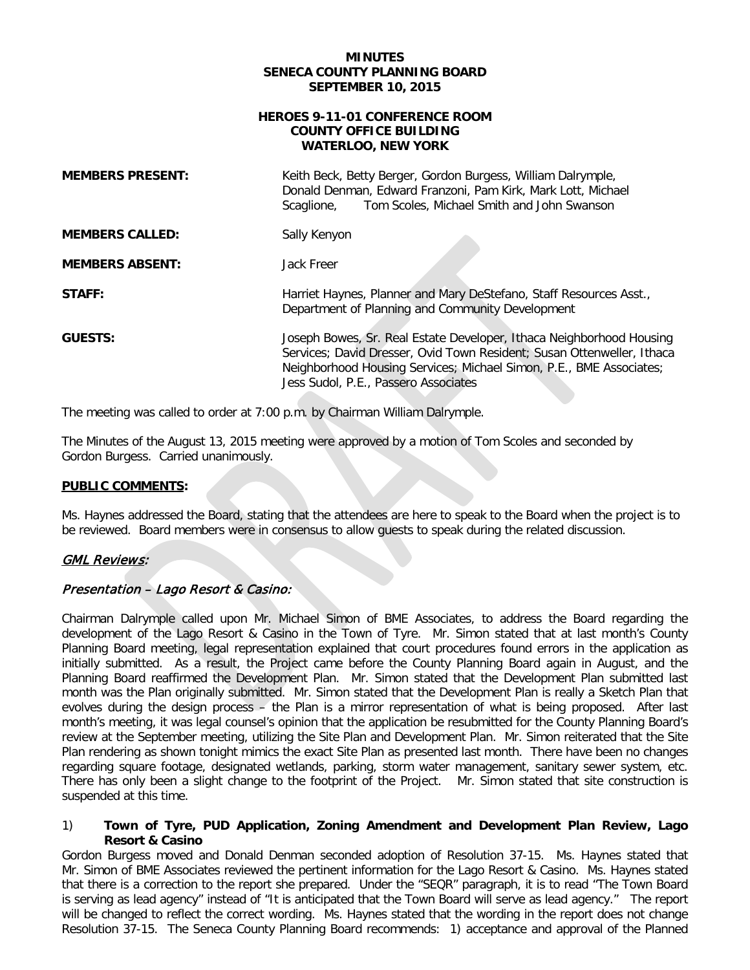### **MINUTES SENECA COUNTY PLANNING BOARD SEPTEMBER 10, 2015**

#### **HEROES 9-11-01 CONFERENCE ROOM COUNTY OFFICE BUILDING WATERLOO, NEW YORK**

| <b>MEMBERS PRESENT:</b> | Keith Beck, Betty Berger, Gordon Burgess, William Dalrymple,<br>Donald Denman, Edward Franzoni, Pam Kirk, Mark Lott, Michael<br>Tom Scoles, Michael Smith and John Swanson<br>Scaglione,                                                                      |
|-------------------------|---------------------------------------------------------------------------------------------------------------------------------------------------------------------------------------------------------------------------------------------------------------|
| <b>MEMBERS CALLED:</b>  | Sally Kenyon                                                                                                                                                                                                                                                  |
| <b>MEMBERS ABSENT:</b>  | Jack Freer                                                                                                                                                                                                                                                    |
| STAFF:                  | Harriet Haynes, Planner and Mary DeStefano, Staff Resources Asst.,<br>Department of Planning and Community Development                                                                                                                                        |
| <b>GUESTS:</b>          | Joseph Bowes, Sr. Real Estate Developer, Ithaca Neighborhood Housing<br>Services; David Dresser, Ovid Town Resident; Susan Ottenweller, Ithaca<br>Neighborhood Housing Services; Michael Simon, P.E., BME Associates;<br>Jess Sudol, P.E., Passero Associates |

The meeting was called to order at 7:00 p.m. by Chairman William Dalrymple.

The Minutes of the August 13, 2015 meeting were approved by a motion of Tom Scoles and seconded by Gordon Burgess. Carried unanimously.

## **PUBLIC COMMENTS:**

Ms. Haynes addressed the Board, stating that the attendees are here to speak to the Board when the project is to be reviewed. Board members were in consensus to allow guests to speak during the related discussion.

# **GML Reviews:**

## Presentation – Lago Resort & Casino:

Chairman Dalrymple called upon Mr. Michael Simon of BME Associates, to address the Board regarding the development of the Lago Resort & Casino in the Town of Tyre. Mr. Simon stated that at last month's County Planning Board meeting, legal representation explained that court procedures found errors in the application as initially submitted. As a result, the Project came before the County Planning Board again in August, and the Planning Board reaffirmed the Development Plan. Mr. Simon stated that the Development Plan submitted last month was the Plan originally submitted. Mr. Simon stated that the Development Plan is really a Sketch Plan that evolves during the design process – the Plan is a mirror representation of what is being proposed. After last month's meeting, it was legal counsel's opinion that the application be resubmitted for the County Planning Board's review at the September meeting, utilizing the Site Plan and Development Plan. Mr. Simon reiterated that the Site Plan rendering as shown tonight mimics the exact Site Plan as presented last month. There have been no changes regarding square footage, designated wetlands, parking, storm water management, sanitary sewer system, etc. There has only been a slight change to the footprint of the Project. Mr. Simon stated that site construction is suspended at this time.

### 1) **Town of Tyre, PUD Application, Zoning Amendment and Development Plan Review, Lago Resort & Casino**

Gordon Burgess moved and Donald Denman seconded adoption of Resolution 37-15. Ms. Haynes stated that Mr. Simon of BME Associates reviewed the pertinent information for the Lago Resort & Casino. Ms. Haynes stated that there is a correction to the report she prepared. Under the "SEQR" paragraph, it is to read "The Town Board is serving as lead agency" instead of "It is anticipated that the Town Board will serve as lead agency." The report will be changed to reflect the correct wording. Ms. Haynes stated that the wording in the report does not change Resolution 37-15. The Seneca County Planning Board recommends: 1) acceptance and approval of the Planned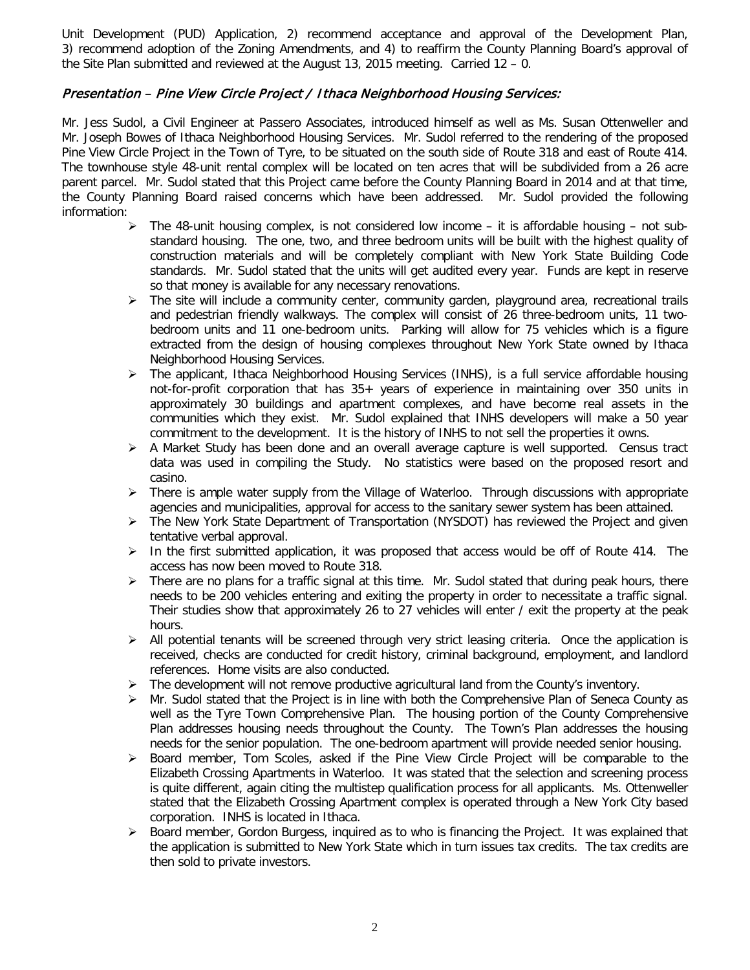Unit Development (PUD) Application, 2) recommend acceptance and approval of the Development Plan, 3) recommend adoption of the Zoning Amendments, and 4) to reaffirm the County Planning Board's approval of the Site Plan submitted and reviewed at the August 13, 2015 meeting. Carried 12 – 0.

## Presentation – Pine View Circle Project / Ithaca Neighborhood Housing Services:

Mr. Jess Sudol, a Civil Engineer at Passero Associates, introduced himself as well as Ms. Susan Ottenweller and Mr. Joseph Bowes of Ithaca Neighborhood Housing Services. Mr. Sudol referred to the rendering of the proposed Pine View Circle Project in the Town of Tyre, to be situated on the south side of Route 318 and east of Route 414. The townhouse style 48-unit rental complex will be located on ten acres that will be subdivided from a 26 acre parent parcel. Mr. Sudol stated that this Project came before the County Planning Board in 2014 and at that time, the County Planning Board raised concerns which have been addressed. Mr. Sudol provided the following information:

- $\triangleright$  The 48-unit housing complex, is not considered low income it is affordable housing not substandard housing. The one, two, and three bedroom units will be built with the highest quality of construction materials and will be completely compliant with New York State Building Code standards. Mr. Sudol stated that the units will get audited every year. Funds are kept in reserve so that money is available for any necessary renovations.
- $\triangleright$  The site will include a community center, community garden, playground area, recreational trails and pedestrian friendly walkways. The complex will consist of 26 three-bedroom units, 11 twobedroom units and 11 one-bedroom units. Parking will allow for 75 vehicles which is a figure extracted from the design of housing complexes throughout New York State owned by Ithaca Neighborhood Housing Services.
- $\triangleright$  The applicant, Ithaca Neighborhood Housing Services (INHS), is a full service affordable housing not-for-profit corporation that has 35+ years of experience in maintaining over 350 units in approximately 30 buildings and apartment complexes, and have become real assets in the communities which they exist. Mr. Sudol explained that INHS developers will make a 50 year commitment to the development. It is the history of INHS to not sell the properties it owns.
- $\triangleright$  A Market Study has been done and an overall average capture is well supported. Census tract data was used in compiling the Study. No statistics were based on the proposed resort and casino.
- $\triangleright$  There is ample water supply from the Village of Waterloo. Through discussions with appropriate agencies and municipalities, approval for access to the sanitary sewer system has been attained.
- The New York State Department of Transportation (NYSDOT) has reviewed the Project and given tentative verbal approval.
- $\triangleright$  In the first submitted application, it was proposed that access would be off of Route 414. The access has now been moved to Route 318.
- $\triangleright$  There are no plans for a traffic signal at this time. Mr. Sudol stated that during peak hours, there needs to be 200 vehicles entering and exiting the property in order to necessitate a traffic signal. Their studies show that approximately 26 to 27 vehicles will enter / exit the property at the peak hours.
- $\triangleright$  All potential tenants will be screened through very strict leasing criteria. Once the application is received, checks are conducted for credit history, criminal background, employment, and landlord references. Home visits are also conducted.
- The development will not remove productive agricultural land from the County's inventory.
- $\triangleright$  Mr. Sudol stated that the Project is in line with both the Comprehensive Plan of Seneca County as well as the Tyre Town Comprehensive Plan. The housing portion of the County Comprehensive Plan addresses housing needs throughout the County. The Town's Plan addresses the housing needs for the senior population. The one-bedroom apartment will provide needed senior housing.
- $\triangleright$  Board member, Tom Scoles, asked if the Pine View Circle Project will be comparable to the Elizabeth Crossing Apartments in Waterloo. It was stated that the selection and screening process is quite different, again citing the multistep qualification process for all applicants. Ms. Ottenweller stated that the Elizabeth Crossing Apartment complex is operated through a New York City based corporation. INHS is located in Ithaca.
- Board member, Gordon Burgess, inquired as to who is financing the Project. It was explained that the application is submitted to New York State which in turn issues tax credits. The tax credits are then sold to private investors.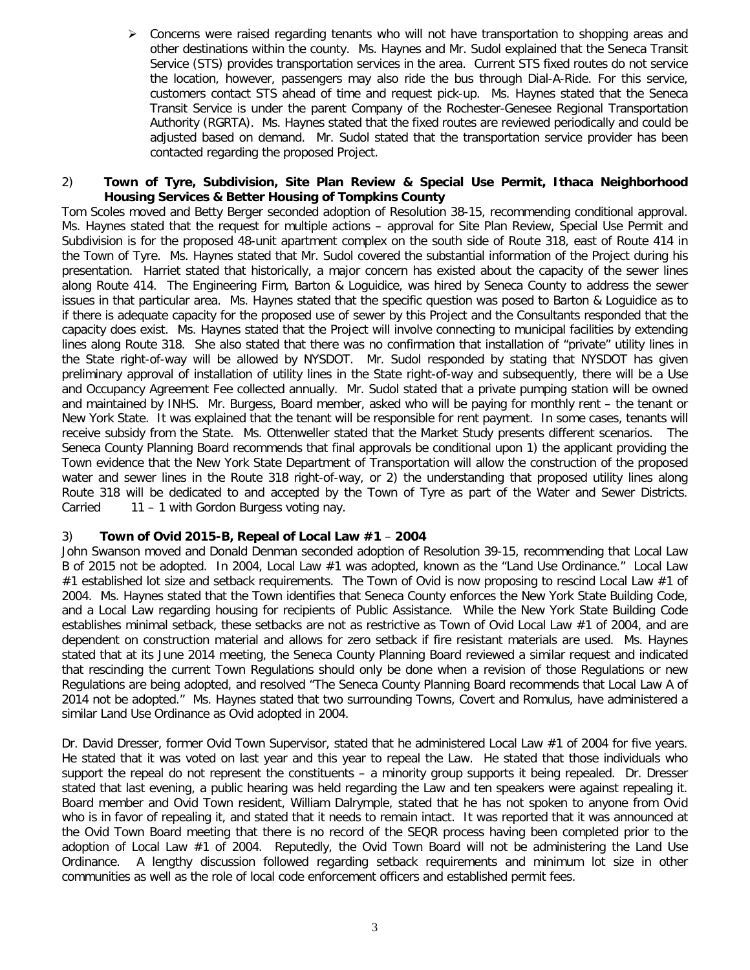Concerns were raised regarding tenants who will not have transportation to shopping areas and other destinations within the county. Ms. Haynes and Mr. Sudol explained that the Seneca Transit Service (STS) provides transportation services in the area. Current STS fixed routes do not service the location, however, passengers may also ride the bus through Dial-A-Ride. For this service, customers contact STS ahead of time and request pick-up. Ms. Haynes stated that the Seneca Transit Service is under the parent Company of the Rochester-Genesee Regional Transportation Authority (RGRTA). Ms. Haynes stated that the fixed routes are reviewed periodically and could be adjusted based on demand. Mr. Sudol stated that the transportation service provider has been contacted regarding the proposed Project.

### 2) **Town of Tyre, Subdivision, Site Plan Review & Special Use Permit, Ithaca Neighborhood Housing Services & Better Housing of Tompkins County**

Tom Scoles moved and Betty Berger seconded adoption of Resolution 38-15, recommending conditional approval. Ms. Haynes stated that the request for multiple actions – approval for Site Plan Review, Special Use Permit and Subdivision is for the proposed 48-unit apartment complex on the south side of Route 318, east of Route 414 in the Town of Tyre. Ms. Haynes stated that Mr. Sudol covered the substantial information of the Project during his presentation. Harriet stated that historically, a major concern has existed about the capacity of the sewer lines along Route 414. The Engineering Firm, Barton & Loguidice, was hired by Seneca County to address the sewer issues in that particular area. Ms. Haynes stated that the specific question was posed to Barton & Loguidice as to if there is adequate capacity for the proposed use of sewer by this Project and the Consultants responded that the capacity does exist. Ms. Haynes stated that the Project will involve connecting to municipal facilities by extending lines along Route 318. She also stated that there was no confirmation that installation of "private" utility lines in the State right-of-way will be allowed by NYSDOT. Mr. Sudol responded by stating that NYSDOT has given preliminary approval of installation of utility lines in the State right-of-way and subsequently, there will be a Use and Occupancy Agreement Fee collected annually. Mr. Sudol stated that a private pumping station will be owned and maintained by INHS. Mr. Burgess, Board member, asked who will be paying for monthly rent – the tenant or New York State. It was explained that the tenant will be responsible for rent payment. In some cases, tenants will receive subsidy from the State. Ms. Ottenweller stated that the Market Study presents different scenarios. The Seneca County Planning Board recommends that final approvals be conditional upon 1) the applicant providing the Town evidence that the New York State Department of Transportation will allow the construction of the proposed water and sewer lines in the Route 318 right-of-way, or 2) the understanding that proposed utility lines along Route 318 will be dedicated to and accepted by the Town of Tyre as part of the Water and Sewer Districts. Carried 11 – 1 with Gordon Burgess voting nay.

## 3) **Town of Ovid 2015-B, Repeal of Local Law #1** – **2004**

John Swanson moved and Donald Denman seconded adoption of Resolution 39-15, recommending that Local Law B of 2015 not be adopted. In 2004, Local Law #1 was adopted, known as the "Land Use Ordinance." Local Law #1 established lot size and setback requirements. The Town of Ovid is now proposing to rescind Local Law #1 of 2004. Ms. Haynes stated that the Town identifies that Seneca County enforces the New York State Building Code, and a Local Law regarding housing for recipients of Public Assistance. While the New York State Building Code establishes minimal setback, these setbacks are not as restrictive as Town of Ovid Local Law #1 of 2004, and are dependent on construction material and allows for zero setback if fire resistant materials are used. Ms. Haynes stated that at its June 2014 meeting, the Seneca County Planning Board reviewed a similar request and indicated that rescinding the current Town Regulations should only be done when a revision of those Regulations or new Regulations are being adopted, and resolved "The Seneca County Planning Board recommends that Local Law A of 2014 not be adopted." Ms. Haynes stated that two surrounding Towns, Covert and Romulus, have administered a similar Land Use Ordinance as Ovid adopted in 2004.

Dr. David Dresser, former Ovid Town Supervisor, stated that he administered Local Law #1 of 2004 for five years. He stated that it was voted on last year and this year to repeal the Law. He stated that those individuals who support the repeal do not represent the constituents – a minority group supports it being repealed. Dr. Dresser stated that last evening, a public hearing was held regarding the Law and ten speakers were against repealing it. Board member and Ovid Town resident, William Dalrymple, stated that he has not spoken to anyone from Ovid who is in favor of repealing it, and stated that it needs to remain intact. It was reported that it was announced at the Ovid Town Board meeting that there is no record of the SEQR process having been completed prior to the adoption of Local Law #1 of 2004. Reputedly, the Ovid Town Board will not be administering the Land Use Ordinance. A lengthy discussion followed regarding setback requirements and minimum lot size in other communities as well as the role of local code enforcement officers and established permit fees.